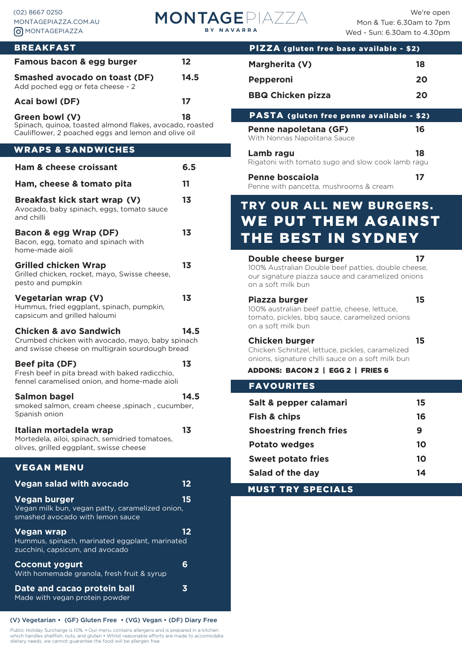

| <b>BREAKFAST</b>                                                                                                                         |                         | <b>PIZZA</b>                                              |
|------------------------------------------------------------------------------------------------------------------------------------------|-------------------------|-----------------------------------------------------------|
| Famous bacon & egg burger                                                                                                                | 12 <sub>2</sub>         | <b>Margherit</b>                                          |
| <b>Smashed avocado on toast (DF)</b>                                                                                                     | 14.5                    | <b>Pepperon</b>                                           |
| Add poched egg or feta cheese - 2<br><b>Acai bowl (DF)</b>                                                                               | 17                      | <b>BBQ Chic</b>                                           |
|                                                                                                                                          | 18                      | <b>PASTA (</b>                                            |
| Green bowl (V)<br>Spinach, quinoa, toasted almond flakes, avocado, roasted<br>Cauliflower, 2 poached eggs and lemon and olive oil        |                         | Penne nap<br>With Nonnas                                  |
| <b>WRAPS &amp; SANDWICHES</b>                                                                                                            |                         | Lamb rag                                                  |
| <b>Ham &amp; cheese croissant</b>                                                                                                        | 6.5                     | Rigatoni witl                                             |
| Ham, cheese & tomato pita                                                                                                                | 11                      | Penne bo:<br>Penne with p                                 |
| Breakfast kick start wrap (V)<br>Avocado, baby spinach, eggs, tomato sauce<br>and chilli                                                 | 1 <sub>3</sub>          | <b>TRY OU</b>                                             |
| Bacon & egg Wrap (DF)<br>Bacon, egg, tomato and spinach with<br>home-made aioli                                                          | 13                      | WE PL<br>THE B                                            |
| <b>Grilled chicken Wrap</b><br>Grilled chicken, rocket, mayo, Swisse cheese,<br>pesto and pumpkin                                        | 1 <sub>3</sub>          | Double ch<br>100% Austra<br>our signatur<br>on a soft mil |
| <b>Vegetarian wrap (V)</b><br>Hummus, fried eggplant, spinach, pumpkin,<br>capsicum and grilled haloumi                                  | 1 <sub>3</sub>          | Piazza bu<br>100% austra<br>tomato, pick                  |
| <b>Chicken &amp; avo Sandwich</b><br>Crumbed chicken with avocado, mayo, baby spinach<br>and swisse cheese on multigrain sourdough bread | 14.5                    | on a soft mil<br><b>Chicken b</b><br>Chicken Sch          |
| Beef pita (DF)<br>Fresh beef in pita bread with baked radicchio,<br>fennel caramelised onion, and home-made aioli                        | 13                      | onions, signa<br><b>ADDONS: B</b><br><b>FAVOUR</b>        |
| Salmon bagel<br>smoked salmon, cream cheese, spinach, cucumber,<br>Spanish onion                                                         | 14.5                    | Salt & per<br>Fish & chi                                  |
| Italian mortadela wrap<br>Mortedela, ailoi, spinach, semidried tomatoes,<br>olives, grilled eggplant, swisse cheese                      | 13                      | <b>Shoestrin</b><br>Potato we                             |
| <b>VEGAN MENU</b>                                                                                                                        |                         | Sweet po                                                  |
| <b>Vegan salad with avocado</b>                                                                                                          | 12                      | Salad of t                                                |
| Vegan burger<br>Vegan milk bun, vegan patty, caramelized onion,<br>smashed avocado with lemon sauce                                      | 15                      | <b>MUST TR</b>                                            |
| <b>Vegan wrap</b><br>Hummus, spinach, marinated eggplant, marinated<br>zucchini, capsicum, and avocado                                   | $12 \overline{ }$       |                                                           |
| <b>Coconut yogurt</b><br>With homemade granola, fresh fruit & syrup                                                                      | 6                       |                                                           |
| Date and cacao protein ball<br>Made with vegan protein powder                                                                            | $\overline{\mathbf{3}}$ |                                                           |

#### (V) Vegetarian • (GF) Gluten Free • (VG) Vegan • (DF) Diary Free

Public Holiday Surcharge is 10%. • Our menu contains allergens and is prepared in a kitchen<br>which handles shellfish, nuts, and gluten • Whilst reasonable efforts are made to accomodate<br>dietary needs, we cannot guarantee th

| PIZZA (gluten free base available - \$2)                                                                                                                            |    |
|---------------------------------------------------------------------------------------------------------------------------------------------------------------------|----|
| Margherita (V)                                                                                                                                                      | 18 |
| Pepperoni                                                                                                                                                           | 20 |
| <b>BBQ Chicken pizza</b>                                                                                                                                            | 20 |
| PASTA (gluten free penne available - \$2)                                                                                                                           |    |
| Penne napoletana (GF)<br>With Nonnas Napolitana Sauce                                                                                                               | 16 |
| Lamb ragu<br>Rigatoni with tomato sugo and slow cook lamb ragu                                                                                                      | 18 |
| Penne boscaiola<br>Penne with pancetta, mushrooms & cream                                                                                                           | 17 |
| TRY OUR ALL NEW BURGERS.                                                                                                                                            |    |
| <b>WE PUT THEM AGAINST</b>                                                                                                                                          |    |
| THE BEST IN SYDNEY                                                                                                                                                  |    |
| Double cheese burger<br>100% Australian Double beef patties, double cheese,<br>our signature piazza sauce and caramelized onions<br>on a soft milk bun              | 17 |
| Piazza burger<br>100% australian beef pattie, cheese, lettuce,<br>tomato, pickles, bbq sauce, caramelized onions<br>on a soft milk bun                              | 15 |
| <b>Chicken burger</b><br>Chicken Schnitzel, lettuce, pickles, caramelized<br>onions, signature chilli sauce on a soft milk bun<br>ADDONS: BACON 2   EGG 2   FRIES 6 | 15 |
| <b>FAVOURITES</b>                                                                                                                                                   |    |
| Salt & pepper calamari                                                                                                                                              | 15 |
| <b>Fish &amp; chips</b>                                                                                                                                             | 16 |
| <b>Shoestring french fries</b>                                                                                                                                      | 9  |
| <b>Potato wedges</b>                                                                                                                                                | 10 |
| <b>Sweet potato fries</b>                                                                                                                                           | 10 |
| Salad of the day                                                                                                                                                    | 14 |
| <b>MUST TRY SPECIALS</b>                                                                                                                                            |    |
|                                                                                                                                                                     |    |
|                                                                                                                                                                     |    |